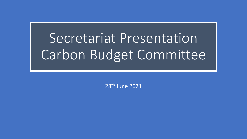# Secretariat Presentation Carbon Budget Committee

28th June 2021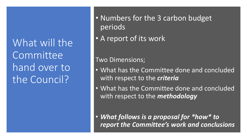What will the Committee hand over to the Council?

• Numbers for the 3 carbon budget periods

• A report of its work

### Two Dimensions;

- What has the Committee done and concluded with respect to the *criteria*
- What has the Committee done and concluded with respect to the *methodology*

• *What follows is a proposal for \*how\* to report the Committee's work and conclusions*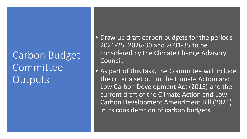## Carbon Budget Committee **Outputs**

• Draw up draft carbon budgets for the periods 2021-25, 2026-30 and 2031-35 to be considered by the Climate Change Advisory Council.

• As part of this task, the Committee will include the criteria set out in the Climate Action and Low Carbon Development Act (2015) and the current draft of the Climate Action and Low Carbon Development Amendment Bill (2021) in its consideration of carbon budgets.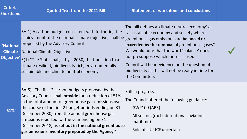| <b>Criteria</b><br>Shorthand | <b>Quoted Text from the 2021 Bill</b>                                                                                                                                                                                                                                                                                                                                                                                                    | <b>Statement of work done and conclusions</b>                                                                                                                                                                                                                                                                                                                                                           |  |
|------------------------------|------------------------------------------------------------------------------------------------------------------------------------------------------------------------------------------------------------------------------------------------------------------------------------------------------------------------------------------------------------------------------------------------------------------------------------------|---------------------------------------------------------------------------------------------------------------------------------------------------------------------------------------------------------------------------------------------------------------------------------------------------------------------------------------------------------------------------------------------------------|--|
| 'National<br><b>Climate</b>  | 6A(1) A carbon budget, consistent with furthering the<br>achievement of the national climate objective, shall be<br>proposed by the Advisory Council<br>National Climate Objective:<br>Objective' 3(1) "The State shall,, by 2050, the transition to a<br>climate resilient, biodiversity rich, environmentally<br>sustainable and climate neutral economy                                                                               | The bill defines a 'climate neutral economy' as<br>"a sustainable economy and society where<br>greenhouse gas emissions are balanced or<br>exceeded by the removal of greenhouse gases".<br>We would note that the word 'balance' does<br>not presuppose which metric is used.<br>Council will hear evidence on the question of<br>biodiversity as this will not be ready in time for<br>the Committee. |  |
| $^{\prime}51\%$              | 6A(5) "The first 2 carbon budgets proposed by the<br>Advisory Council shall provide for a reduction of 51%<br>in the total amount of greenhouse gas emissions over<br>the course of the first 2 budget periods ending on 31<br>December 2030, from the annual greenhouse gas<br>emissions reported for the year ending on 31<br>December 2018, as set out in the national greenhouse<br>gas emissions inventory prepared by the Agency." | Still in progress.<br>The Council offered the following guidance:<br><b>GWP100 (AR5)</b><br>All sectors (excl international aviation,<br>maritime)<br>Role of LULUCF uncertain                                                                                                                                                                                                                          |  |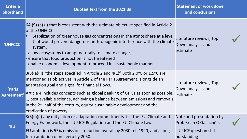| <b>Criteria</b><br><b>Shorthand</b> | <b>Quoted Text from the 2021 Bill</b>                                                                                                                                                                                                                                                                                                                                                                                                                                                                    | <b>Statement of work done</b><br>and conclusions                  |  |
|-------------------------------------|----------------------------------------------------------------------------------------------------------------------------------------------------------------------------------------------------------------------------------------------------------------------------------------------------------------------------------------------------------------------------------------------------------------------------------------------------------------------------------------------------------|-------------------------------------------------------------------|--|
| <b>'UNFCCC'</b>                     | 6A (9) (a) (i) that is consistent with the ultimate objective specified in Article 2<br>of the UNFCCC<br>Stabilization of greenhouse gas concentrations in the atmosphere at a level<br>that would prevent dangerous anthropogenic interference with the climate<br>system.<br>- allow ecosystems to adapt naturally to climate change,<br>ensure that food production is not threatened<br>- enable economic development to proceed in a sustainable manner.                                            | Literature reviews, Top<br>Down analysis and<br>estimate          |  |
| 'Paris<br>Agreement'                | $3(3)(a)(ii)$ "the steps specified in Article 2 and 4(1)" Both 2.0 °C or 1.5 °C are<br>mentioned as objectives in Article 2 of the Paris Agreement, alongside an<br>adaptation goal and a goal for financial flows.<br>Article 4 includes concepts such as global peaking of GHGs as soon as possible,<br>, best available science, achieving a balance between emissions and removals<br>in the 2 <sup>nd</sup> half of the century, equity, sustainable development and the<br>eradication of poverty. | Literature reviews, Top<br>Down analysis and<br>estimate          |  |
| 'EU'                                | 3(3)(a)(i) any mitigation or adaptation commitments. i.e. the EU Climate and Note and presentation by<br>Energy Framework, the LULUCF Regulation and the EU Climate Law.<br>EU ambition is 55% emissions reduction overall by 2030 rel. 1990, and a long<br>term ambition of net zero by 2050.                                                                                                                                                                                                           | Prof. Brian O Gallachóir.<br>LULUCF question still<br>outstanding |  |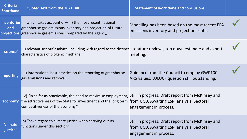| <b>Criteria</b><br><b>Shorthand</b> | Quoted Text from the 2021 Bill                                                                                                                                                                                                                                        | <b>Statement of work done and conclusions</b>                                                                             |  |
|-------------------------------------|-----------------------------------------------------------------------------------------------------------------------------------------------------------------------------------------------------------------------------------------------------------------------|---------------------------------------------------------------------------------------------------------------------------|--|
| and                                 | $'$ inventories(ii) which takes account of $-$ (I) the most recent national<br>greenhouse gas emissions inventory and projection of future<br>projections' greenhouse gas emissions, prepared by the Agency,                                                          | Modelling has been based on the most recent EPA<br>emissions inventory and projections data.                              |  |
| 'science'                           | (II) relevant scientific advice, including with regard to the distinct Literature reviews, top down estimate and expert<br>characteristics of biogenic methane,                                                                                                       | meeting.                                                                                                                  |  |
| 'reporting'                         | (III) international best practice on the reporting of greenhouse<br>gas emissions and removal,                                                                                                                                                                        | Guidance from the Council to employ GWP100<br>AR5 values. LULUCF question still outstanding.                              |  |
| 'economy'                           | (IV) "in so far as practicable, the need to maximise employment, Still in progress. Draft report from McKinsey and<br>the attractiveness of the State for investment and the long term from UCD. Awaiting ESRI analysis. Sectoral<br>competitiveness of the economy," | engagement in process.                                                                                                    |  |
| <b>'climate</b><br>justice'         | (b) "have regard to climate justice when carrying out its<br>functions under this section"                                                                                                                                                                            | Still in progress. Draft report from McKinsey and<br>from UCD. Awaiting ESRI analysis. Sectoral<br>engagement in process. |  |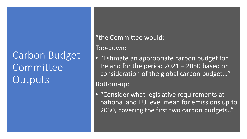## Carbon Budget Committee **Outputs**

### "the Committee would;

Top-down:

• "Estimate an appropriate carbon budget for Ireland for the period 2021 – 2050 based on consideration of the global carbon budget…"

Bottom-up:

• "Consider what legislative requirements at national and EU level mean for emissions up to 2030, covering the first two carbon budgets.."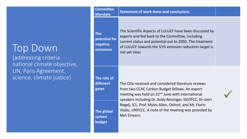### Top Down

[addressing criteria: national climate objective, UN, Paris Agreement, science, climate justice]

#### **Committee**

#### **Mandate Statement of work done and conclusions**

**The potential for negative emissions**

The Scientific Aspects of LULUCF have been discussed by experts and fed back to the Committee, including current status and potential out to 2050. The treatment of LULUCF towards the 51% emission reduction target is not yet clear.

#### **The role of different**

**The global** 

**carbon** 

**budget**

**gases**

The Ctte received and considered literature reviews from two CCAC Carbon Budget fellows. An expert meeting was held on 22<sup>nd</sup> June with international speakers including Dr. Andy Reisinger, NZ/IPCC, Dr Joeri Rogelj, ICL, Prof. Myles Allen, Oxford, and Mr. Florin Vladu, UNFCCC. A note of the meeting was provided by Met Eireann.

✓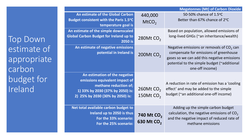| <b>Megatonnes (Mt) of Carbon Dioxide</b>                                                                                                                         |                                                  |                                                                                                                                                                                                        |  |  |
|------------------------------------------------------------------------------------------------------------------------------------------------------------------|--------------------------------------------------|--------------------------------------------------------------------------------------------------------------------------------------------------------------------------------------------------------|--|--|
| An estimate of the Global Carbon<br>Budget consistent with the Paris 1.5°C<br>temperature goal is                                                                | 440,000<br>MtCO <sub>2</sub>                     | 50-50% chance of 1.5°C<br>Better than 67% chance of 2°C                                                                                                                                                |  |  |
| An estimate of the simple downscaled<br><b>Global Carbon Budget for Ireland up to</b><br>2050 is                                                                 | 280Mt CO <sub>2</sub>                            | Based on population, allowed emissions of<br>long-lived GHGs (~an inheritance/wealth)                                                                                                                  |  |  |
| An estimate of negative emissions<br>potential in Ireland is                                                                                                     | 200Mt $CO2$                                      | Negative emissions or removals of $CO2$ can<br>compensate for emissions of greenhouse<br>gases so we can add this negative emissions<br>potential to the simple budget (~additional<br>one-off income) |  |  |
| An estimation of the negative<br>emissions equivalent impact of<br>methane reduction of;<br>1) 33% by 2030 (37% by 2050) is:<br>2) 25% by 2030 (30% by 2050) is: | 260Mt $CO2$<br>150Mt CO <sub>2</sub>             | A reduction in rate of emission has a 'cooling<br>effect' and may be added to the simple<br>budget (~an additional one-off income)                                                                     |  |  |
| Net total available carbon budget to<br>Ireland up to 2050 is thus<br>For the 33% scenario:<br>For the 25% scenario:                                             | 740 Mt CO <sub>2</sub><br>630 Mt CO <sub>2</sub> | Adding up the simple carbon budget<br>calculation, the negative emissions of $CO2$<br>and the negative impact of reduced rate of<br>methane emissions                                                  |  |  |

Top Down estimate of appropriate carbon<sup>1</sup> budget for **Ireland**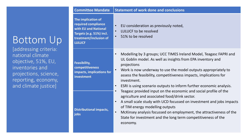## Bottom Up

[addressing criteria: national climate objective, 51%, EU, inventories and projections, science, reporting, economy, and climate justice]

| <b>Committee Mandate</b>                                                                                                                 | <b>Statement of work done and conclusions</b>                                                                                                                                                                                                                                                                                                                                                                           |  |  |  |
|------------------------------------------------------------------------------------------------------------------------------------------|-------------------------------------------------------------------------------------------------------------------------------------------------------------------------------------------------------------------------------------------------------------------------------------------------------------------------------------------------------------------------------------------------------------------------|--|--|--|
| The implication of<br>required compliance<br>with EU and National<br>Targets (e.g. 51%) incl.<br>treatment/inclusion of<br><b>LULUCF</b> | EU consideration as previously noted,<br>$\bullet$<br>LULUCF to be resolved<br>$\bullet$<br>51% to be resolved<br>$\bullet$                                                                                                                                                                                                                                                                                             |  |  |  |
| Feasibility,<br>competitiveness<br>impacts, implications for<br>investment                                                               | Modelling by 3 groups; UCC TIMES Ireland Model, Teagasc FAPRI and<br>$\bullet$<br>UL Goblin model. As well as insights from EPA inventory and<br>projections<br>Work is now underway to use the model outputs appropriately to<br>$\bullet$<br>assess the feasibility, competitiveness impacts, implications for<br>investment.<br>ESRI is using scenario outputs to inform further economic analysis.<br>$\bullet$     |  |  |  |
| <b>Distributional impacts,</b><br>jobs                                                                                                   | Teagasc provided input on the economic and social profile of the<br>$\bullet$<br>agriculture and associated food/drink sector.<br>A small scale study with UCD focussed on investment and jobs impacts<br>$\bullet$<br>of TIM energy modelling outputs<br>McKinsey analysis focussed on employment, the attractiveness of the<br>$\bullet$<br>State for investment and the long term competitiveness of the<br>economy. |  |  |  |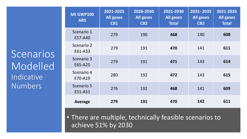**Scenarios Modelled** Indicative Numbers

| Mt GWP100<br>AR5      | 2021-2025<br>All gases<br><b>CB1</b> | 2026-2030<br><b>All gases</b><br>CB <sub>2</sub> | 2021-2030<br><b>All gases</b><br><b>Total</b> | 2031-2035<br><b>All gases</b><br><b>CB3</b> | 2021-2035<br><b>All gases</b><br><b>Total</b> |
|-----------------------|--------------------------------------|--------------------------------------------------|-----------------------------------------------|---------------------------------------------|-----------------------------------------------|
| Scenario 1<br>E57-A40 | 279                                  | 190                                              | 468                                           | 140                                         | 608                                           |
| Scenario 2<br>E61-A33 | 279                                  | 191                                              | 470                                           | 141                                         | 611                                           |
| Scenario 3<br>E65-A25 | 279                                  | 191                                              | 471                                           | 143                                         | 614                                           |
| Scenario 4<br>E70-A19 | 280                                  | 192                                              | 472                                           | 143                                         | 615                                           |
| Scenario 5<br>E51-A51 | 276                                  | 192                                              | 468                                           | 141                                         | 609                                           |
| Average               | 279                                  | 191                                              | 470                                           | 142                                         | 611                                           |

• There are multiple, technically feasible scenarios to achieve 51% by 2030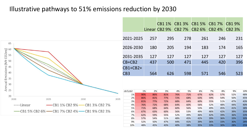### Illustrative pathways to 51% emissions reduction by 2030

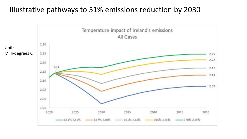### Illustrative pathways to 51% emissions reduction by 2030

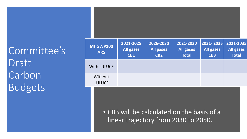Committee's Draft Carbon Budgets

| <b>Mt GWP100</b><br>AR5                                                            | 2021-2025<br><b>All gases</b><br>CB1 | 2026-2030<br><b>All gases</b><br>CB <sub>2</sub> | 2021-2030<br><b>All gases</b><br><b>Total</b> | 2031-2035<br><b>All gases</b><br>CB <sub>3</sub> | 2021-2035<br><b>All gases</b><br><b>Total</b> |
|------------------------------------------------------------------------------------|--------------------------------------|--------------------------------------------------|-----------------------------------------------|--------------------------------------------------|-----------------------------------------------|
| <b>With LULUCF</b>                                                                 |                                      |                                                  |                                               |                                                  |                                               |
| Without<br><b>LULUCF</b>                                                           |                                      |                                                  |                                               |                                                  |                                               |
| • CB3 will be calculated on the basis of a<br>linear trajectory from 2030 to 2050. |                                      |                                                  |                                               |                                                  |                                               |